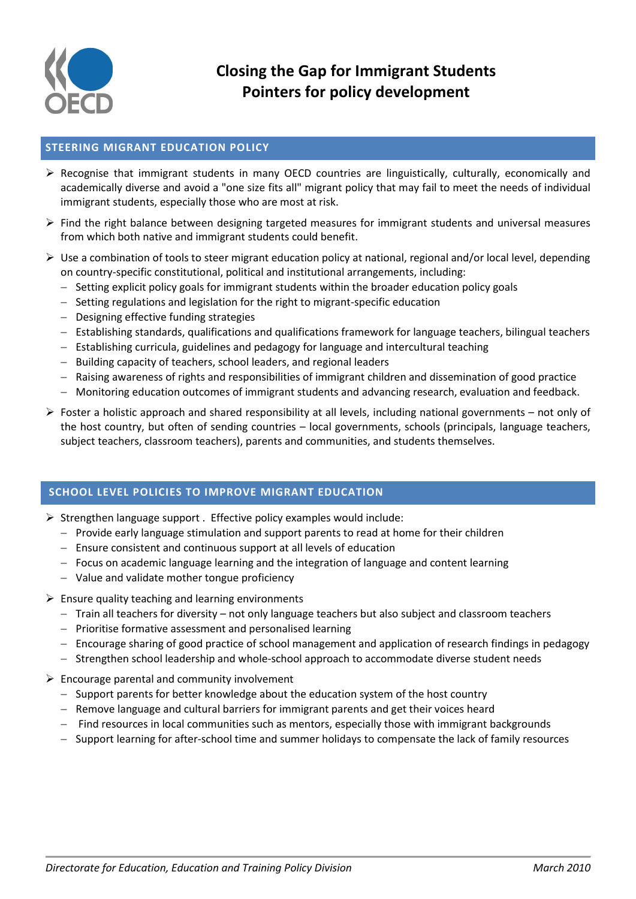

## **STEERING MIGRANT EDUCATION POLICY**

- $\triangleright$  Recognise that immigrant students in many OECD countries are linguistically, culturally, economically and academically diverse and avoid a "one size fits all" migrant policy that may fail to meet the needs of individual immigrant students, especially those who are most at risk.
- $\triangleright$  Find the right balance between designing targeted measures for immigrant students and universal measures from which both native and immigrant students could benefit.
- $\triangleright$  Use a combination of tools to steer migrant education policy at national, regional and/or local level, depending on country-specific constitutional, political and institutional arrangements, including:
	- $-$  Setting explicit policy goals for immigrant students within the broader education policy goals
	- Setting regulations and legislation for the right to migrant-specific education
	- $-$  Designing effective funding strategies
	- Establishing standards, qualifications and qualifications framework for language teachers, bilingual teachers
	- Establishing curricula, guidelines and pedagogy for language and intercultural teaching
	- Building capacity of teachers, school leaders, and regional leaders
	- Raising awareness of rights and responsibilities of immigrant children and dissemination of good practice
	- Monitoring education outcomes of immigrant students and advancing research, evaluation and feedback.
- $\triangleright$  Foster a holistic approach and shared responsibility at all levels, including national governments not only of the host country, but often of sending countries – local governments, schools (principals, language teachers, subject teachers, classroom teachers), parents and communities, and students themselves.

## **SCHOOL LEVEL POLICIES TO IMPROVE MIGRANT EDUCATION**

- $\triangleright$  Strengthen language support . Effective policy examples would include:
	- $P$  Provide early language stimulation and support parents to read at home for their children
	- Ensure consistent and continuous support at all levels of education
	- $-$  Focus on academic language learning and the integration of language and content learning
	- Value and validate mother tongue proficiency
- $\triangleright$  Ensure quality teaching and learning environments
	- $-$  Train all teachers for diversity not only language teachers but also subject and classroom teachers
	- Prioritise formative assessment and personalised learning
	- Encourage sharing of good practice of school management and application of research findings in pedagogy
	- Strengthen school leadership and whole-school approach to accommodate diverse student needs
- $\triangleright$  Encourage parental and community involvement
	- $-$  Support parents for better knowledge about the education system of the host country
	- $-$  Remove language and cultural barriers for immigrant parents and get their voices heard
	- Find resources in local communities such as mentors, especially those with immigrant backgrounds
	- Support learning for after-school time and summer holidays to compensate the lack of family resources